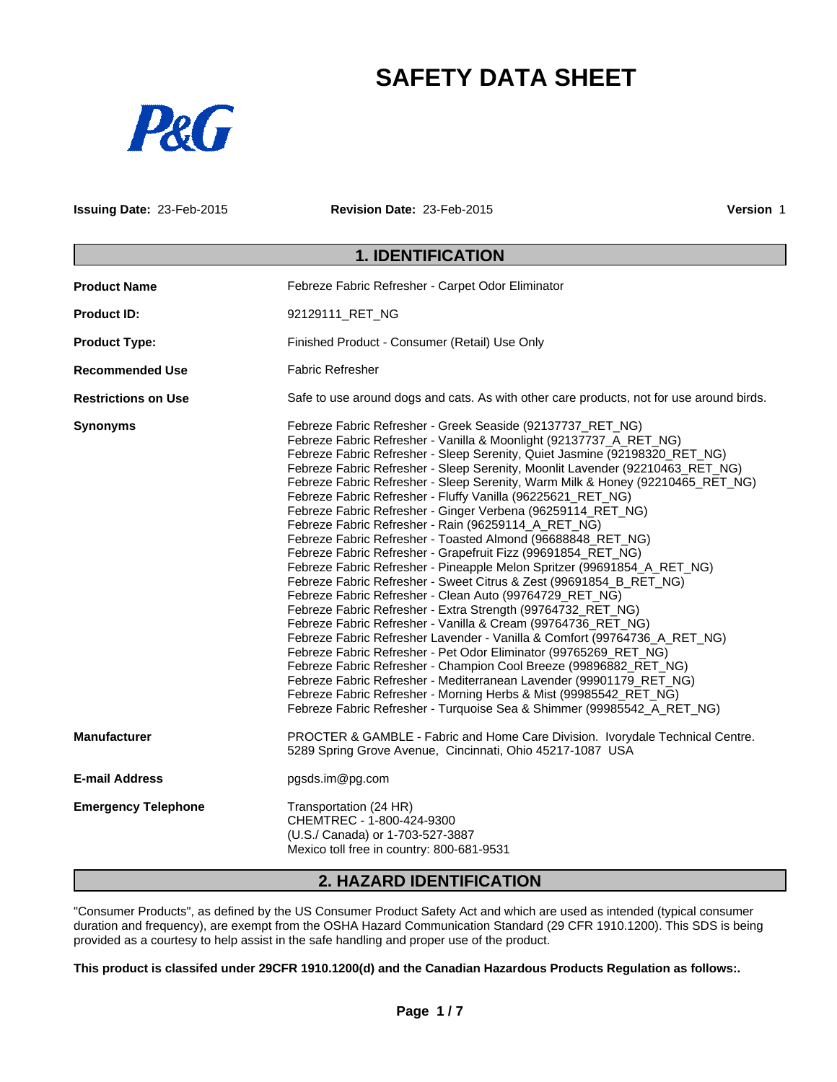# **SAFETY DATA SHEET**



**Issuing Date:** 23-Feb-2015 **Revision Date:** 23-Feb-2015 **Version** 1

## **1. IDENTIFICATION**

| <b>Product Name</b>        | Febreze Fabric Refresher - Carpet Odor Eliminator                                                                                                                                                                                                                                                                                                                                                                                                                                                                                                                                                                                                                                                                                                                                                                                                                                                                                                                                                                                                                                                                                                                                                                                                                                                                                                                                                                                                                                            |  |  |
|----------------------------|----------------------------------------------------------------------------------------------------------------------------------------------------------------------------------------------------------------------------------------------------------------------------------------------------------------------------------------------------------------------------------------------------------------------------------------------------------------------------------------------------------------------------------------------------------------------------------------------------------------------------------------------------------------------------------------------------------------------------------------------------------------------------------------------------------------------------------------------------------------------------------------------------------------------------------------------------------------------------------------------------------------------------------------------------------------------------------------------------------------------------------------------------------------------------------------------------------------------------------------------------------------------------------------------------------------------------------------------------------------------------------------------------------------------------------------------------------------------------------------------|--|--|
| <b>Product ID:</b>         | 92129111 RET NG                                                                                                                                                                                                                                                                                                                                                                                                                                                                                                                                                                                                                                                                                                                                                                                                                                                                                                                                                                                                                                                                                                                                                                                                                                                                                                                                                                                                                                                                              |  |  |
| <b>Product Type:</b>       | Finished Product - Consumer (Retail) Use Only                                                                                                                                                                                                                                                                                                                                                                                                                                                                                                                                                                                                                                                                                                                                                                                                                                                                                                                                                                                                                                                                                                                                                                                                                                                                                                                                                                                                                                                |  |  |
| <b>Recommended Use</b>     | <b>Fabric Refresher</b>                                                                                                                                                                                                                                                                                                                                                                                                                                                                                                                                                                                                                                                                                                                                                                                                                                                                                                                                                                                                                                                                                                                                                                                                                                                                                                                                                                                                                                                                      |  |  |
| <b>Restrictions on Use</b> | Safe to use around dogs and cats. As with other care products, not for use around birds.                                                                                                                                                                                                                                                                                                                                                                                                                                                                                                                                                                                                                                                                                                                                                                                                                                                                                                                                                                                                                                                                                                                                                                                                                                                                                                                                                                                                     |  |  |
| <b>Synonyms</b>            | Febreze Fabric Refresher - Greek Seaside (92137737_RET_NG)<br>Febreze Fabric Refresher - Vanilla & Moonlight (92137737_A_RET_NG)<br>Febreze Fabric Refresher - Sleep Serenity, Quiet Jasmine (92198320_RET_NG)<br>Febreze Fabric Refresher - Sleep Serenity, Moonlit Lavender (92210463_RET_NG)<br>Febreze Fabric Refresher - Sleep Serenity, Warm Milk & Honey (92210465_RET_NG)<br>Febreze Fabric Refresher - Fluffy Vanilla (96225621_RET_NG)<br>Febreze Fabric Refresher - Ginger Verbena (96259114_RET_NG)<br>Febreze Fabric Refresher - Rain (96259114_A_RET_NG)<br>Febreze Fabric Refresher - Toasted Almond (96688848_RET_NG)<br>Febreze Fabric Refresher - Grapefruit Fizz (99691854_RET_NG)<br>Febreze Fabric Refresher - Pineapple Melon Spritzer (99691854_A_RET_NG)<br>Febreze Fabric Refresher - Sweet Citrus & Zest (99691854_B_RET_NG)<br>Febreze Fabric Refresher - Clean Auto (99764729_RET_NG)<br>Febreze Fabric Refresher - Extra Strength (99764732_RET_NG)<br>Febreze Fabric Refresher - Vanilla & Cream (99764736_RET_NG)<br>Febreze Fabric Refresher Lavender - Vanilla & Comfort (99764736_A_RET_NG)<br>Febreze Fabric Refresher - Pet Odor Eliminator (99765269_RET_NG)<br>Febreze Fabric Refresher - Champion Cool Breeze (99896882_RET_NG)<br>Febreze Fabric Refresher - Mediterranean Lavender (99901179_RET_NG)<br>Febreze Fabric Refresher - Morning Herbs & Mist (99985542_RET_NG)<br>Febreze Fabric Refresher - Turquoise Sea & Shimmer (99985542_A_RET_NG) |  |  |
| <b>Manufacturer</b>        | PROCTER & GAMBLE - Fabric and Home Care Division. Ivorydale Technical Centre.<br>5289 Spring Grove Avenue, Cincinnati, Ohio 45217-1087 USA                                                                                                                                                                                                                                                                                                                                                                                                                                                                                                                                                                                                                                                                                                                                                                                                                                                                                                                                                                                                                                                                                                                                                                                                                                                                                                                                                   |  |  |
| <b>E-mail Address</b>      | pgsds.im@pg.com                                                                                                                                                                                                                                                                                                                                                                                                                                                                                                                                                                                                                                                                                                                                                                                                                                                                                                                                                                                                                                                                                                                                                                                                                                                                                                                                                                                                                                                                              |  |  |
| <b>Emergency Telephone</b> | Transportation (24 HR)<br>CHEMTREC - 1-800-424-9300<br>(U.S./ Canada) or 1-703-527-3887<br>Mexico toll free in country: 800-681-9531                                                                                                                                                                                                                                                                                                                                                                                                                                                                                                                                                                                                                                                                                                                                                                                                                                                                                                                                                                                                                                                                                                                                                                                                                                                                                                                                                         |  |  |

## **2. HAZARD IDENTIFICATION**

"Consumer Products", as defined by the US Consumer Product Safety Act and which are used as intended (typical consumer duration and frequency), are exempt from the OSHA Hazard Communication Standard (29 CFR 1910.1200). This SDS is being provided as a courtesy to help assist in the safe handling and proper use of the product.

**This product is classifed under 29CFR 1910.1200(d) and the Canadian Hazardous Products Regulation as follows:.**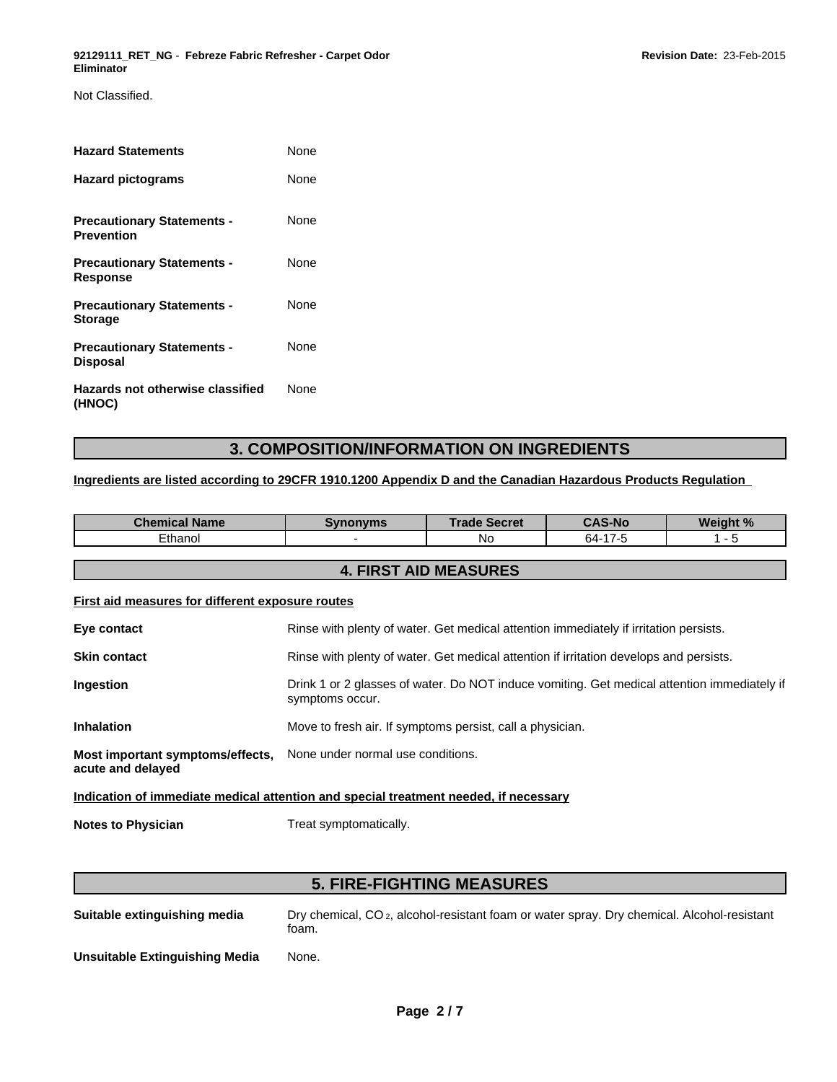Not Classified.

| <b>Hazard Statements</b>                               | None        |
|--------------------------------------------------------|-------------|
| <b>Hazard pictograms</b>                               | None        |
| <b>Precautionary Statements -</b><br><b>Prevention</b> | None        |
| <b>Precautionary Statements -</b><br><b>Response</b>   | None        |
| <b>Precautionary Statements -</b><br><b>Storage</b>    | None        |
| <b>Precautionary Statements -</b><br><b>Disposal</b>   | None        |
| Hazards not otherwise classified<br>(HNOC)             | <b>None</b> |

## **3. COMPOSITION/INFORMATION ON INGREDIENTS**

#### **Ingredients are listed according to 29CFR 1910.1200 Appendix D and the Canadian Hazardous Products Regulation**

| <b>Chemical Name</b>                                                                 | <b>Synonyms</b>                                                                                                | <b>Trade Secret</b> | <b>CAS-No</b> | Weight % |  |  |
|--------------------------------------------------------------------------------------|----------------------------------------------------------------------------------------------------------------|---------------------|---------------|----------|--|--|
| Ethanol                                                                              |                                                                                                                | No.                 | 64-17-5       | $1 - 5$  |  |  |
| <b>4. FIRST AID MEASURES</b>                                                         |                                                                                                                |                     |               |          |  |  |
| First aid measures for different exposure routes                                     |                                                                                                                |                     |               |          |  |  |
| Eye contact                                                                          | Rinse with plenty of water. Get medical attention immediately if irritation persists.                          |                     |               |          |  |  |
| <b>Skin contact</b>                                                                  | Rinse with plenty of water. Get medical attention if irritation develops and persists.                         |                     |               |          |  |  |
| Ingestion                                                                            | Drink 1 or 2 glasses of water. Do NOT induce vomiting. Get medical attention immediately if<br>symptoms occur. |                     |               |          |  |  |
| <b>Inhalation</b>                                                                    | Move to fresh air. If symptoms persist, call a physician.                                                      |                     |               |          |  |  |
| Most important symptoms/effects,<br>acute and delayed                                | None under normal use conditions.                                                                              |                     |               |          |  |  |
| Indication of immediate medical attention and special treatment needed, if necessary |                                                                                                                |                     |               |          |  |  |
| <b>Notes to Physician</b>                                                            | Treat symptomatically.                                                                                         |                     |               |          |  |  |

## **5. FIRE-FIGHTING MEASURES**

**Suitable extinguishing media** Dry chemical, CO 2, alcohol-resistant foam or water spray. Dry chemical. Alcohol-resistant foam.

**Unsuitable Extinguishing Media** None.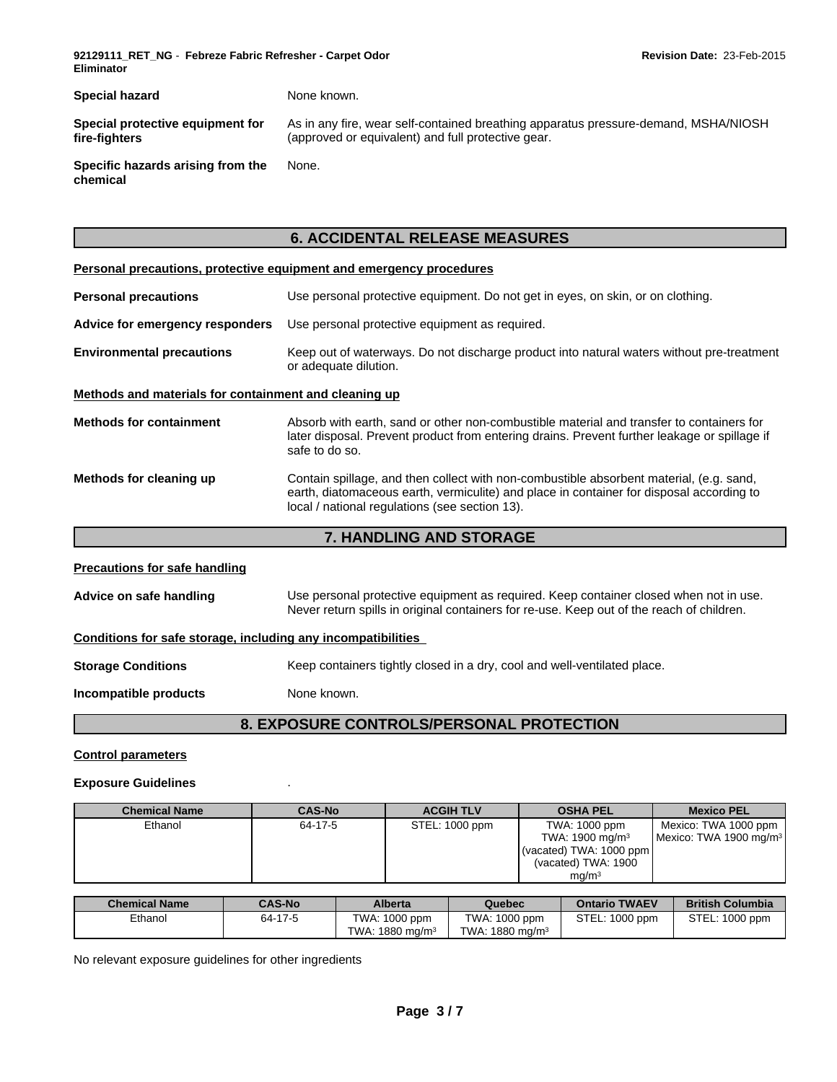**92129111\_RET\_NG** - **Febreze Fabric Refresher - Carpet Odor Eliminator**

**Special hazard** None known. **Special protective equipment for fire-fighters** As in any fire, wear self-contained breathing apparatus pressure-demand, MSHA/NIOSH (approved or equivalent) and full protective gear. **Specific hazards arising from the chemical** None.

## **6. ACCIDENTAL RELEASE MEASURES**

#### **Personal precautions, protective equipment and emergency procedures**

| <b>Personal precautions</b>                           | Use personal protective equipment. Do not get in eyes, on skin, or on clothing.                                                                                                                                                       |  |  |  |
|-------------------------------------------------------|---------------------------------------------------------------------------------------------------------------------------------------------------------------------------------------------------------------------------------------|--|--|--|
| Advice for emergency responders                       | Use personal protective equipment as required.                                                                                                                                                                                        |  |  |  |
| <b>Environmental precautions</b>                      | Keep out of waterways. Do not discharge product into natural waters without pre-treatment<br>or adequate dilution.                                                                                                                    |  |  |  |
| Methods and materials for containment and cleaning up |                                                                                                                                                                                                                                       |  |  |  |
| <b>Methods for containment</b>                        | Absorb with earth, sand or other non-combustible material and transfer to containers for<br>later disposal. Prevent product from entering drains. Prevent further leakage or spillage if<br>safe to do so.                            |  |  |  |
| Methods for cleaning up                               | Contain spillage, and then collect with non-combustible absorbent material, (e.g. sand,<br>earth, diatomaceous earth, vermiculite) and place in container for disposal according to<br>local / national regulations (see section 13). |  |  |  |
|                                                       |                                                                                                                                                                                                                                       |  |  |  |

#### **7. HANDLING AND STORAGE**

## **Precautions for safe handling Advice on safe handling** Use personal protective equipment as required. Keep container closed when not in use. Never return spills in original containers for re-use. Keep out of the reach of children. **Conditions for safe storage, including any incompatibilities Storage Conditions** Keep containers tightly closed in a dry, cool and well-ventilated place. **Incompatible products** None known.

## **8. EXPOSURE CONTROLS/PERSONAL PROTECTION**

#### **Control parameters**

#### **Exposure Guidelines**

| <b>Chemical Name</b> | <b>CAS-No</b> | <b>ACGIH TLV</b> | <b>OSHA PEL</b>            | <b>Mexico PEL</b>                  |
|----------------------|---------------|------------------|----------------------------|------------------------------------|
| Ethanol              | 64-17-5       | STEL: 1000 ppm   | TWA: 1000 ppm              | Mexico: TWA 1000 ppm               |
|                      |               |                  | TWA: $1900 \text{ mg/m}^3$ | Mexico: TWA 1900 mg/m <sup>3</sup> |
|                      |               |                  | (vacated) TWA: 1000 ppm    |                                    |
|                      |               |                  | (vacated) TWA: 1900        |                                    |
|                      |               |                  | mq/m <sup>3</sup>          |                                    |

| <b>Chemical Name</b> | <b>CAS-No</b> | <b>Alberta</b>        | Quebec                      | <b>Ontario TWAEV</b> | <b>British Columbia</b>   |
|----------------------|---------------|-----------------------|-----------------------------|----------------------|---------------------------|
| Ethanol              | 64-17-5       | TWA:<br>$1000$ ppm    | TWA: 1000 ppm               | STEL:<br>: 1000 ppm  | STEL:<br>$\cdot$ 1000 ppm |
|                      |               | TWA:<br>1880 mg/m $3$ | TWA: 1880 mg/m <sup>3</sup> |                      |                           |

No relevant exposure guidelines for other ingredients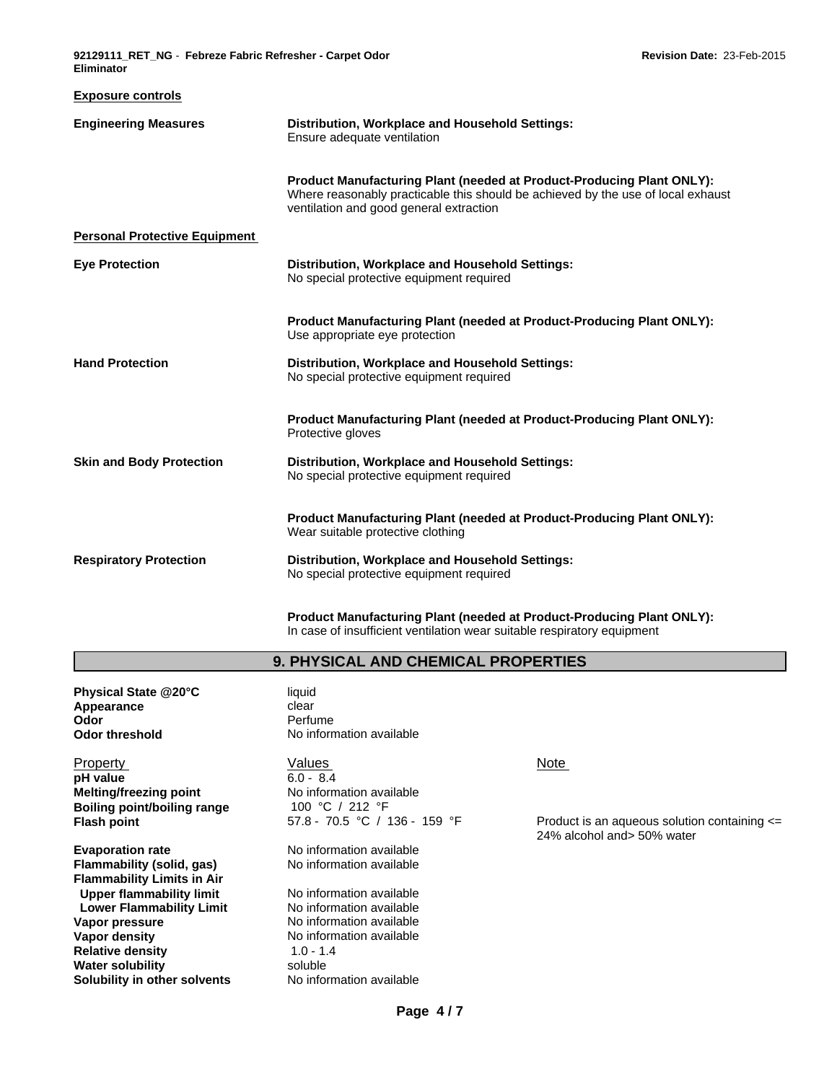**Exposure controls**

| my in a community                    |                                                                                                                                                                                                             |
|--------------------------------------|-------------------------------------------------------------------------------------------------------------------------------------------------------------------------------------------------------------|
| <b>Engineering Measures</b>          | Distribution, Workplace and Household Settings:<br>Ensure adequate ventilation                                                                                                                              |
|                                      | <b>Product Manufacturing Plant (needed at Product-Producing Plant ONLY):</b><br>Where reasonably practicable this should be achieved by the use of local exhaust<br>ventilation and good general extraction |
| <b>Personal Protective Equipment</b> |                                                                                                                                                                                                             |
| <b>Eye Protection</b>                | Distribution, Workplace and Household Settings:<br>No special protective equipment required                                                                                                                 |
|                                      | <b>Product Manufacturing Plant (needed at Product-Producing Plant ONLY):</b><br>Use appropriate eye protection                                                                                              |
| <b>Hand Protection</b>               | <b>Distribution, Workplace and Household Settings:</b><br>No special protective equipment required                                                                                                          |
|                                      | <b>Product Manufacturing Plant (needed at Product-Producing Plant ONLY):</b><br>Protective gloves                                                                                                           |
| <b>Skin and Body Protection</b>      | Distribution, Workplace and Household Settings:<br>No special protective equipment required                                                                                                                 |
|                                      | <b>Product Manufacturing Plant (needed at Product-Producing Plant ONLY):</b><br>Wear suitable protective clothing                                                                                           |
| <b>Respiratory Protection</b>        | <b>Distribution, Workplace and Household Settings:</b><br>No special protective equipment required                                                                                                          |

**Product Manufacturing Plant (needed at Product-Producing Plant ONLY):** In case of insufficient ventilation wear suitable respiratory equipment

#### **9. PHYSICAL AND CHEMICAL PROPERTIES**

**Physical State @20°C** liquid<br> **Appearance** clear **Appearance Odor** Perfume

Property **Note** Network Values Note Note Note Note **pH value** 6.0 - 8.4 **Melting/freezing point No information available**<br>**Boiling point/boiling range** 100 °C / 212 °F

**Evaporation rate Evaporation available**<br> **Flammability (solid, gas)** No information available **Flammability (solid, gas) Flammability Limits in Air**<br> **Upper flammability limit** Mo information available **Upper flammability limit** No information available<br> **Lower Flammability Limit** No information available **Lower Flammability Limit Vapor pressure** No information available **Vapor density**<br> **Relative density**<br> **Relative density**<br> **Relative density**<br> **A** 1.0 - 1.4 **Relative density 1.0 - 1.44 Mater solubility** 1.0 - 1.44 Mater soluble **Water solubility Solubility in other solvents** No information available

**Odor threshold** No information available

**Boiling point/boiling range** 100 °C / 212 °F<br> **Flash point 159 °F** 

**Flash point** 67.8 - 70.5 °C / 136 - 159 °F Product is an aqueous solution containing <= 24% alcohol and> 50% water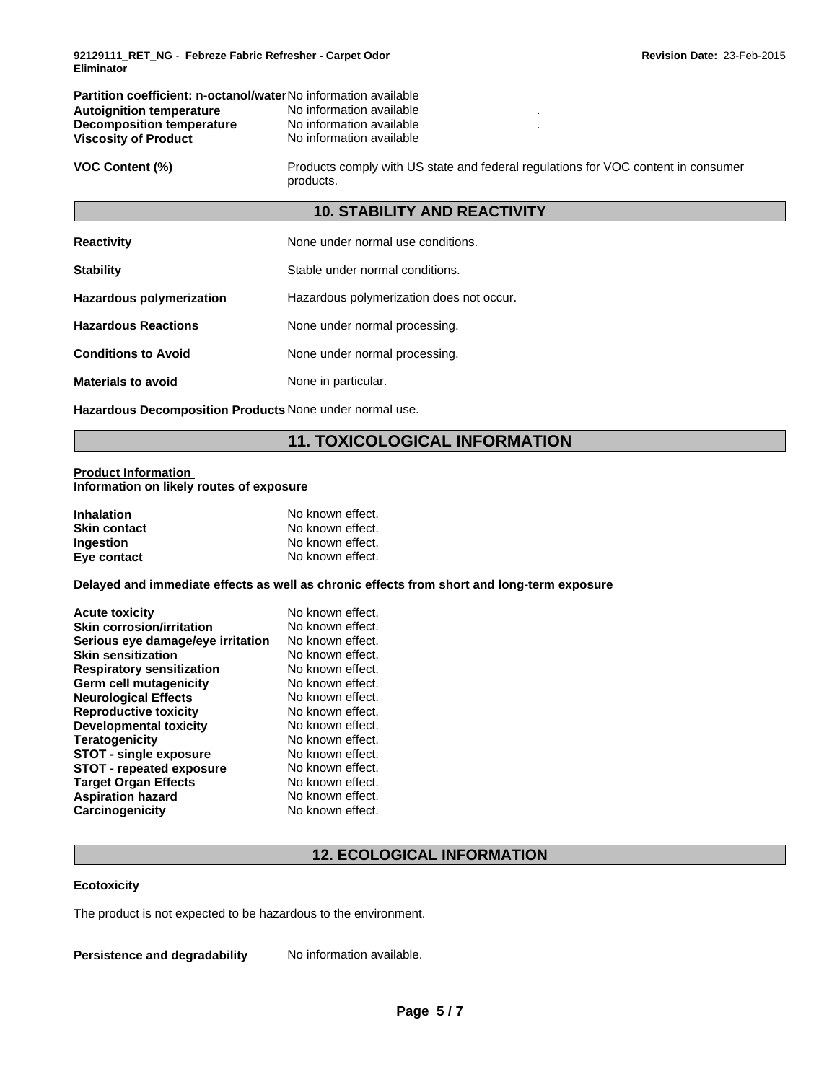| <b>Partition coefficient: n-octanol/waterNo information available</b> |                          |  |  |
|-----------------------------------------------------------------------|--------------------------|--|--|
| <b>Autoignition temperature</b>                                       | No information available |  |  |
| Decomposition temperature                                             | No information available |  |  |
| <b>Viscosity of Product</b>                                           | No information available |  |  |

**VOC Content (%)** Products comply with US state and federal regulations for VOC content in consumer products.

### **10. STABILITY AND REACTIVITY**

| <b>Reactivity</b>               | None under normal use conditions.        |
|---------------------------------|------------------------------------------|
| <b>Stability</b>                | Stable under normal conditions.          |
| <b>Hazardous polymerization</b> | Hazardous polymerization does not occur. |
| <b>Hazardous Reactions</b>      | None under normal processing.            |
| <b>Conditions to Avoid</b>      | None under normal processing.            |
| <b>Materials to avoid</b>       | None in particular.                      |

**Hazardous Decomposition Products** None under normal use.

## **11. TOXICOLOGICAL INFORMATION**

## **Product Information**

**Information on likely routes of exposure**

| <b>Inhalation</b>   | No known effect. |
|---------------------|------------------|
| <b>Skin contact</b> | No known effect. |
| <b>Ingestion</b>    | No known effect. |
| Eye contact         | No known effect. |

#### **Delayed and immediate effects as well as chronic effects from short and long-term exposure**

| <b>Acute toxicity</b><br><b>Skin corrosion/irritation</b>      | No known effect.<br>No known effect. |
|----------------------------------------------------------------|--------------------------------------|
| Serious eye damage/eye irritation<br><b>Skin sensitization</b> | No known effect.<br>No known effect. |
| <b>Respiratory sensitization</b>                               | No known effect.                     |
| Germ cell mutagenicity                                         | No known effect.                     |
| <b>Neurological Effects</b>                                    | No known effect.                     |
| <b>Reproductive toxicity</b>                                   | No known effect.                     |
| <b>Developmental toxicity</b>                                  | No known effect.                     |
| <b>Teratogenicity</b>                                          | No known effect.                     |
| <b>STOT - single exposure</b>                                  | No known effect.                     |
| <b>STOT - repeated exposure</b>                                | No known effect.                     |
| <b>Target Organ Effects</b>                                    | No known effect.                     |
| <b>Aspiration hazard</b>                                       | No known effect.                     |
| Carcinogenicity                                                | No known effect.                     |

## **12. ECOLOGICAL INFORMATION**

#### **Ecotoxicity**

The product is not expected to be hazardous to the environment.

**Persistence and degradability** No information available.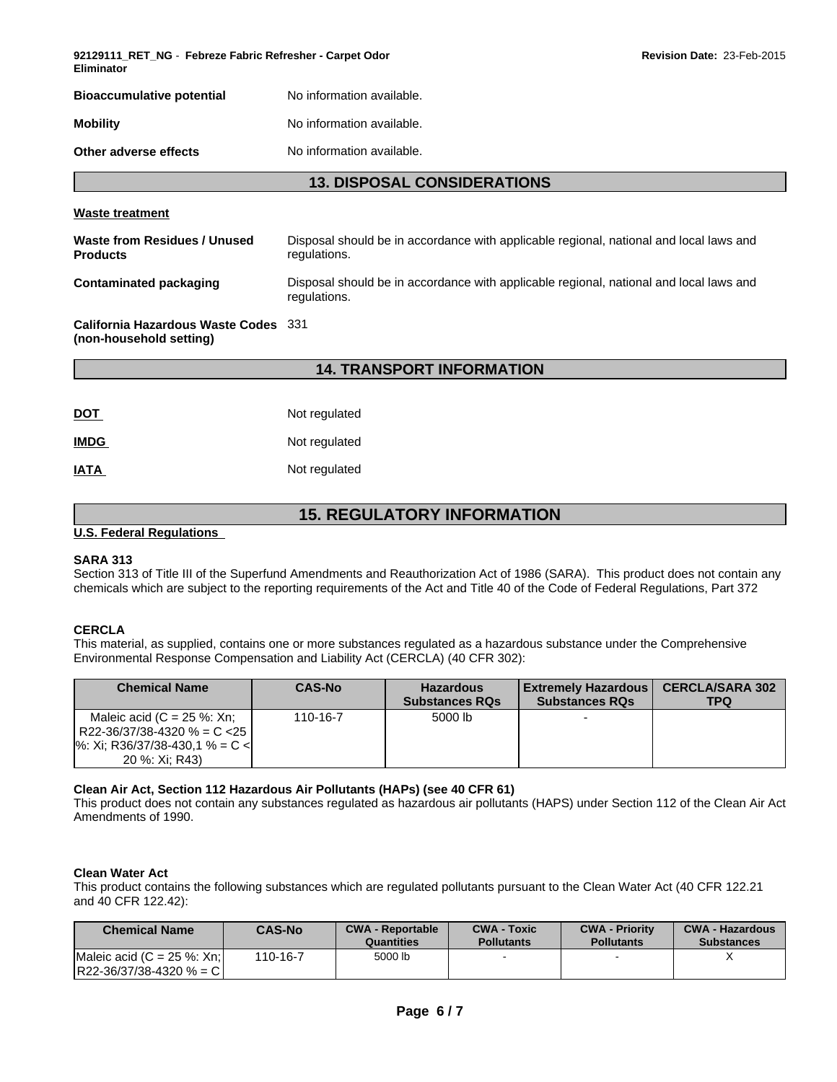| 92129111_RET_NG - Febreze Fabric Refresher - Carpet Odor<br>Eliminator |                           |  |
|------------------------------------------------------------------------|---------------------------|--|
| <b>Bioaccumulative potential</b>                                       | No information available. |  |
| <b>Mobility</b>                                                        | No information available. |  |
| Other adverse effects                                                  | No information available. |  |

#### **13. DISPOSAL CONSIDERATIONS**

**Revision Date:** 23-Feb-2015

#### **Waste treatment**

| Waste from Residues / Unused<br><b>Products</b> | Disposal should be in accordance with applicable regional, national and local laws and<br>regulations. |
|-------------------------------------------------|--------------------------------------------------------------------------------------------------------|
| Contaminated packaging                          | Disposal should be in accordance with applicable regional, national and local laws and<br>regulations. |
|                                                 |                                                                                                        |

**California Hazardous Waste Codes** 331 **(non-household setting)**

### **14. TRANSPORT INFORMATION**

| DOT         | Not regulated |
|-------------|---------------|
| <b>IMDG</b> | Not regulated |
| IATA        | Not regulated |

## **15. REGULATORY INFORMATION**

#### **U.S. Federal Regulations**

#### **SARA 313**

Section 313 of Title III of the Superfund Amendments and Reauthorization Act of 1986 (SARA). This product does not contain any chemicals which are subject to the reporting requirements of the Act and Title 40 of the Code of Federal Regulations, Part 372

#### **CERCLA**

This material, as supplied, contains one or more substances regulated as a hazardous substance under the Comprehensive Environmental Response Compensation and Liability Act (CERCLA) (40 CFR 302):

| <b>Chemical Name</b>                                                                                                           | <b>CAS-No</b> | <b>Hazardous</b><br><b>Substances RQs</b> | <b>Extremely Hazardous</b><br><b>Substances RQs</b> | <b>CERCLA/SARA 302</b><br>TPQ |
|--------------------------------------------------------------------------------------------------------------------------------|---------------|-------------------------------------------|-----------------------------------------------------|-------------------------------|
| Maleic acid $(C = 25 %: Xn;$<br>R22-36/37/38-4320 % = C <25 l<br>$\frac{1}{6}$ : Xi; R36/37/38-430,1 % = C <<br>20 %: Xi: R43) | 110-16-7      | 5000 lb                                   |                                                     |                               |

#### **Clean Air Act, Section 112 Hazardous Air Pollutants (HAPs) (see 40 CFR 61)**

This product does not contain any substances regulated as hazardous air pollutants (HAPS) under Section 112 of the Clean Air Act Amendments of 1990.

#### **Clean Water Act**

This product contains the following substances which are regulated pollutants pursuant to the Clean Water Act (40 CFR 122.21 and 40 CFR 122.42):

| <b>Chemical Name</b>                                        | <b>CAS-No</b> | <b>CWA - Reportable</b><br>Quantities | <b>CWA - Toxic</b><br><b>Pollutants</b> | <b>CWA - Priority</b><br><b>Pollutants</b> | <b>CWA - Hazardous</b><br><b>Substances</b> |
|-------------------------------------------------------------|---------------|---------------------------------------|-----------------------------------------|--------------------------------------------|---------------------------------------------|
| IMaleic acid $(C = 25 \%; Xn!$<br>$R22-36/37/38-4320$ % = C | 110-16-7      | 5000 lb                               |                                         |                                            |                                             |